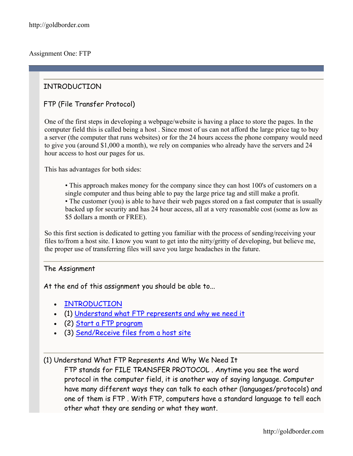# INTRODUCTION

## FTP (File Transfer Protocol)

One of the first steps in developing a webpage/website is having a place to store the pages. In the computer field this is called being a host . Since most of us can not afford the large price tag to buy a server (the computer that runs websites) or for the 24 hours access the phone company would need to give you (around \$1,000 a month), we rely on companies who already have the servers and 24 hour access to host our pages for us.

This has advantages for both sides:

• This approach makes money for the company since they can host 100's of customers on a single computer and thus being able to pay the large price tag and still make a profit. • The customer (you) is able to have their web pages stored on a fast computer that is usually backed up for security and has 24 hour access, all at a very reasonable cost (some as low as \$5 dollars a month or FREE).

So this first section is dedicated to getting you familiar with the process of sending/receiving your files to/from a host site. I know you want to get into the nitty/gritty of developing, but believe me, the proper use of transferring files will save you large headaches in the future.

#### The Assignment

At the end of this assignment you should be able to...

- [INTRODUCTION](http://goldborder.com/htmlguide/assign1.htm)
- (1) [Understand what FTP represents and why we need it](http://goldborder.com/htmlguide/assign1.htm)
- (2) [Start a FTP program](http://goldborder.com/htmlguide/assign1.htm)
- (3) [Send/Receive files from a host site](http://goldborder.com/htmlguide/assign1.htm)

#### (1) Understand What FTP Represents And Why We Need It

FTP stands for FILE TRANSFER PROTOCOL . Anytime you see the word protocol in the computer field, it is another way of saying language. Computer have many different ways they can talk to each other (languages/protocols) and one of them is FTP . With FTP, computers have a standard language to tell each other what they are sending or what they want.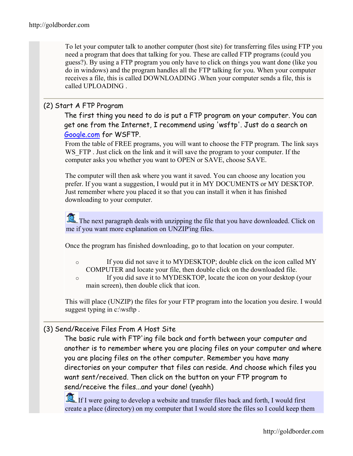To let your computer talk to another computer (host site) for transferring files using FTP you need a program that does that talking for you. These are called FTP programs (could you guess?). By using a FTP program you only have to click on things you want done (like you do in windows) and the program handles all the FTP talking for you. When your computer receives a file, this is called DOWNLOADING .When your computer sends a file, this is called UPLOADING .

## (2) Start A FTP Program

The first thing you need to do is put a FTP program on your computer. You can get one from the Internet, I recommend using 'wsftp'. Just do a search on [Google.com](http://www.google.com/) for WSFTP.

From the table of FREE programs, you will want to choose the FTP program. The link says WS FTP . Just click on the link and it will save the program to your computer. If the computer asks you whether you want to OPEN or SAVE, choose SAVE.

The computer will then ask where you want it saved. You can choose any location you prefer. If you want a suggestion, I would put it in MY DOCUMENTS or MY DESKTOP. Just remember where you placed it so that you can install it when it has finished downloading to your computer.

The next paragraph deals with unzipping the file that you have downloaded. Click on me if you want more explanation on UNZIP'ing files.

Once the program has finished downloading, go to that location on your computer.

- o If you did not save it to MYDESKTOP; double click on the icon called MY COMPUTER and locate your file, then double click on the downloaded file.
- o If you did save it to MYDESKTOP, locate the icon on your desktop (your main screen), then double click that icon.

This will place (UNZIP) the files for your FTP program into the location you desire. I would suggest typing in c:\wsftp.

# (3) Send/Receive Files From A Host Site

The basic rule with FTP'ing file back and forth between your computer and another is to remember where you are placing files on your computer and where you are placing files on the other computer. Remember you have many directories on your computer that files can reside. And choose which files you want sent/received. Then click on the button on your FTP program to send/receive the files...and your done! (yeahh)

If I were going to develop a website and transfer files back and forth, I would first create a place (directory) on my computer that I would store the files so I could keep them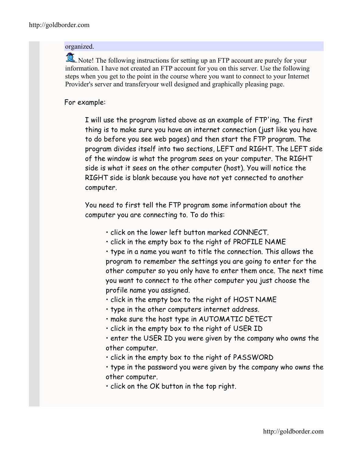#### organized.

Note! The following instructions for setting up an FTP account are purely for your information. I have not created an FTP account for you on this server. Use the following steps when you get to the point in the course where you want to connect to your Internet Provider's server and transferyour well designed and graphically pleasing page.

### For example:

I will use the program listed above as an example of FTP'ing. The first thing is to make sure you have an internet connection (just like you have to do before you see web pages) and then start the FTP program. The program divides itself into two sections, LEFT and RIGHT. The LEFT side of the window is what the program sees on your computer. The RIGHT side is what it sees on the other computer (host). You will notice the RIGHT side is blank because you have not yet connected to another computer.

You need to first tell the FTP program some information about the computer you are connecting to. To do this:

- click on the lower left button marked CONNECT.
- click in the empty box to the right of PROFILE NAME

• type in a name you want to title the connection. This allows the program to remember the settings you are going to enter for the other computer so you only have to enter them once. The next time you want to connect to the other computer you just choose the profile name you assigned.

- click in the empty box to the right of HOST NAME
- type in the other computers internet address.
- make sure the host type in AUTOMATIC DETECT
- click in the empty box to the right of USER ID
- enter the USER ID you were given by the company who owns the other computer.
- click in the empty box to the right of PASSWORD
- type in the password you were given by the company who owns the other computer.
- click on the OK button in the top right.